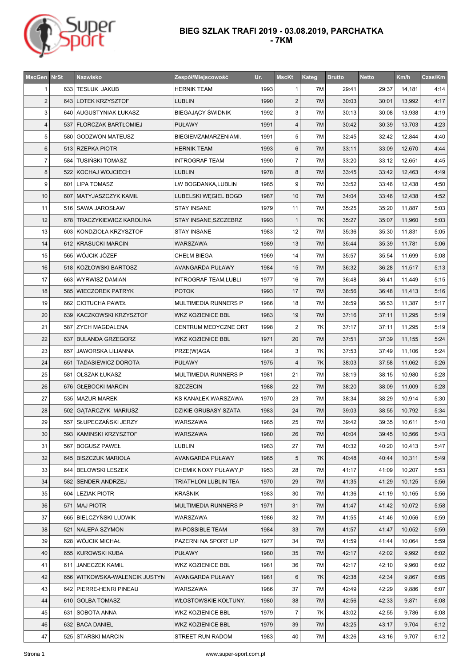

| <b>MscGen</b>  | <b>NrSt</b> | <b>Nazwisko</b>                 | Zespół/Miejscowość           | Ur.  | <b>MscKt</b>   | Kateg | <b>Brutto</b> | <b>Netto</b> | Km/h   | Czas/Km |
|----------------|-------------|---------------------------------|------------------------------|------|----------------|-------|---------------|--------------|--------|---------|
| 1              |             | 633   TESLUK JAKUB              | HERNIK TEAM                  | 1993 | 1              | 7M    | 29:41         | 29:37        | 14,181 | 4:14    |
| $\overline{2}$ |             | 643 LOTEK KRZYSZTOF             | <b>LUBLIN</b>                | 1990 | $\overline{2}$ | 7M    | 30:03         | 30:01        | 13,992 | 4:17    |
| 3              |             | 640 AUGUSTYNIAK ŁUKASZ          | <b>BIEGAJĄCY ŚWIDNIK</b>     | 1992 | 3              | 7M    | 30:13         | 30:08        | 13,938 | 4:19    |
| $\overline{4}$ |             | 537   FLORCZAK BARTŁOMIEJ       | <b>PUŁAWY</b>                | 1991 | $\overline{4}$ | 7M    | 30:42         | 30:39        | 13,703 | 4:23    |
| 5              | 580         | GODZWON MATEUSZ                 | BIEGIEMZAMARZENIAMI.         | 1991 | 5              | 7M    | 32:45         | 32:42        | 12,844 | 4:40    |
| $6\phantom{1}$ |             | 513 RZEPKA PIOTR                | <b>HERNIK TEAM</b>           | 1993 | 6              | 7M    | 33:11         | 33:09        | 12,670 | 4:44    |
| $\overline{7}$ |             | 584   TUSIŃSKI TOMASZ           | INTROGRAF TEAM               | 1990 | $\overline{7}$ | 7M    | 33:20         | 33:12        | 12,651 | 4:45    |
| $\bf 8$        |             | 522   KOCHAJ WOJCIECH           | <b>LUBLIN</b>                | 1978 | 8              | 7M    | 33:45         | 33:42        | 12,463 | 4:49    |
| 9              |             | 601 LIPA TOMASZ                 | LW BOGDANKA, LUBLIN          | 1985 | 9              | 7M    | 33:52         | 33:46        | 12,438 | 4:50    |
| 10             |             | 607   MATYJASZCZYK KAMIL        | LUBELSKI WĘGIEL BOGD         | 1987 | 10             | 7M    | 34:04         | 33:46        | 12,438 | 4:52    |
| 11             |             | 516 SAWA JAROSŁAW               | <b>STAY INSANE</b>           | 1979 | 11             | 7M    | 35:25         | 35:20        | 11,887 | 5:03    |
| 12             |             | 678   TRACZYKIEWICZ KAROLINA    | STAY INSANE, SZCZEBRZ        | 1993 | $\mathbf{1}$   | 7K    | 35:27         | 35:07        | 11,960 | 5:03    |
| 13             |             | 603 KONDZIOŁA KRZYSZTOF         | <b>STAY INSANE</b>           | 1983 | 12             | 7M    | 35:36         | 35:30        | 11,831 | 5:05    |
| 14             |             | 612   KRASUCKI MARCIN           | <b>WARSZAWA</b>              | 1989 | 13             | 7M    | 35:44         | 35:39        | 11,781 | 5:06    |
| 15             |             | 565 WÓJCIK JÓZEF                | CHEŁM BIEGA                  | 1969 | 14             | 7M    | 35:57         | 35:54        | 11,699 | 5:08    |
| 16             |             | 518 KOZŁOWSKI BARTOSZ           | AVANGARDA PUŁAWY             | 1984 | 15             | 7M    | 36:32         | 36:28        | 11.517 | 5:13    |
| 17             |             | 663 WYRWISZ DAMIAN              | <b>INTROGRAF TEAM, LUBLI</b> | 1977 | 16             | 7M    | 36:48         | 36:41        | 11,449 | 5:15    |
| 18             |             | 585   WIECZOREK PATRYK          | <b>POTOK</b>                 | 1993 | 17             | 7M    | 36:56         | 36:48        | 11,413 | 5:16    |
| 19             |             | 662 CIOTUCHA PAWEŁ              | MULTIMEDIA RUNNERS P         | 1986 | 18             | 7M    | 36:59         | 36:53        | 11,387 | 5:17    |
| 20             |             | 639   KACZKOWSKI KRZYSZTOF      | WKZ KOZIENICE BBL            | 1983 | 19             | 7M    | 37:16         | 37:11        | 11,295 | 5:19    |
| 21             |             | 587   ZYCH MAGDALENA            | <b>CENTRUM MEDYCZNE ORT</b>  | 1998 | $\overline{2}$ | 7K    | 37:17         | 37:11        | 11,295 | 5:19    |
| 22             |             | 637   BULANDA GRZEGORZ          | WKZ KOZIENICE BBL            | 1971 | 20             | 7M    | 37:51         | 37:39        | 11,155 | 5:24    |
| 23             | 657         | JAWORSKA LILIANNA               | PRZE(W)AGA                   | 1984 | 3              | 7K    | 37:53         | 37:49        | 11,106 | 5:24    |
| 24             | 651         | <b>TADASIEWICZ DOROTA</b>       | <b>PUŁAWY</b>                | 1975 | $\overline{4}$ | 7K    | 38:03         | 37:58        | 11,062 | 5:26    |
| 25             | 581         | <b>OLSZAK ŁUKASZ</b>            | MULTIMEDIA RUNNERS P         | 1981 | 21             | 7M    | 38:19         | 38:15        | 10,980 | 5:28    |
| 26             |             | 676   GŁĘBOCKI MARCIN           | <b>SZCZECIN</b>              | 1988 | 22             | 7M    | 38:20         | 38:09        | 11,009 | 5:28    |
| 27             |             | 535   MAZUR MAREK               | KS KANAŁEK, WARSZAWA         | 1970 | 23             | 7M    | 38:34         | 38:29        | 10,914 | 5:30    |
| 28             |             | 502 GATARCZYK MARIUSZ           | <b>DZIKIE GRUBASY SZATA</b>  | 1983 | 24             | 7M    | 39:03         | 38:55        | 10,792 | 5:34    |
| 29             |             | 557 SŁUPECZAŃSKI JERZY          | WARSZAWA                     | 1985 | 25             | 7M    | 39:42         | 39:35        | 10,611 | 5:40    |
| 30             |             | 593   KAMINSKI KRZYSZTOF        | WARSZAWA                     | 1980 | 26             | 7M    | 40:04         | 39:45        | 10,566 | 5:43    |
| 31             |             | 567   BOGUSZ PAWEŁ              | LUBLIN                       | 1983 | 27             | 7M    | 40:32         | 40:20        | 10,413 | 5:47    |
| 32             |             | 645   BISZCZUK MARIOLA          | AVANGARDA PUŁAWY             | 1985 | 5              | 7K    | 40:48         | 40:44        | 10,311 | 5:49    |
| 33             |             | 644 BELOWSKI LESZEK             | CHEMIK NOXY PUŁAWY, P        | 1953 | 28             | 7M    | 41:17         | 41:09        | 10,207 | 5:53    |
| 34             |             | 582   SENDER ANDRZEJ            | TRIATHLON LUBLIN TEA         | 1970 | 29             | 7M    | 41:35         | 41:29        | 10,125 | 5:56    |
| 35             |             | 604 LEZIAK PIOTR                | KRAŚNIK                      | 1983 | 30             | 7M    | 41:36         | 41:19        | 10,165 | 5:56    |
| 36             |             | 571 MAJ PIOTR                   | MULTIMEDIA RUNNERS P         | 1971 | 31             | 7M    | 41:47         | 41:42        | 10,072 | 5:58    |
| 37             |             | 665 BIELCZYŃSKI LUDWIK          | WARSZAWA                     | 1986 | 32             | 7M    | 41:55         | 41:46        | 10,056 | 5:59    |
| 38             |             | 521 NALEPA SZYMON               | <b>IM-POSSIBLE TEAM</b>      | 1984 | 33             | 7M    | 41:57         | 41:47        | 10,052 | 5:59    |
| 39             |             | 628 WÓJCIK MICHAŁ               | PAZERNI NA SPORT LIP         | 1977 | 34             | 7M    | 41:59         | 41:44        | 10,064 | 5:59    |
| 40             |             | 655   KUROWSKI KUBA             | <b>PUŁAWY</b>                | 1980 | 35             | 7M    | 42:17         | 42:02        | 9,992  | 6:02    |
| 41             |             | 611 JANECZEK KAMIL              | <b>WKZ KOZIENICE BBL</b>     | 1981 | 36             | 7M    | 42:17         | 42:10        | 9,960  | 6:02    |
| 42             |             | 656   WITKOWSKA-WALENCIK JUSTYN | AVANGARDA PUŁAWY             | 1981 | 6              | 7K    | 42:38         | 42:34        | 9,867  | 6:05    |
| 43             |             | 642   PIERRE-HENRI PINEAU       | WARSZAWA                     | 1986 | 37             | 7M    | 42:49         | 42:29        | 9,886  | 6:07    |
| 44             |             | 610 GOLBA TOMASZ                | WŁOSTOWSKIE KOŁTUNY.         | 1980 | 38             | 7M    | 42:56         | 42:33        | 9,871  | 6:08    |
| 45             |             | 631   SOBOTA ANNA               | <b>WKZ KOZIENICE BBL</b>     | 1979 | 7              | 7K    | 43:02         | 42:55        | 9,786  | 6:08    |
| 46             |             | 632   BACA DANIEL               | <b>WKZ KOZIENICE BBL</b>     | 1979 | 39             | 7M    | 43:25         | 43:17        | 9,704  | 6:12    |
| 47             |             | 525   STARSKI MARCIN            | STREET RUN RADOM             | 1983 | 40             | 7M    | 43:26         | 43:16        | 9,707  | 6:12    |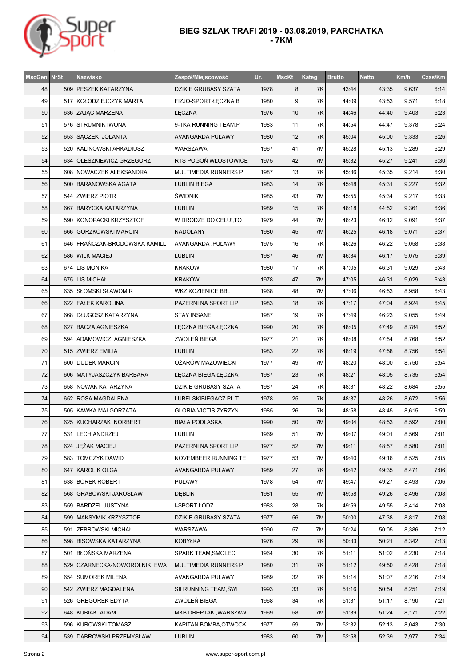

| <b>MscGen</b> | <b>NrSt</b> | <b>Nazwisko</b>                 | Zespół/Miejscowość       | Ur.  | <b>MscKt</b> | Kateg | <b>Brutto</b> | <b>Netto</b> | Km/h  | Czas/Km |
|---------------|-------------|---------------------------------|--------------------------|------|--------------|-------|---------------|--------------|-------|---------|
| 48            |             | 509 PESZEK KATARZYNA            | DZIKIE GRUBASY SZATA     | 1978 | 8            | 7K    | 43:44         | 43:35        | 9,637 | 6:14    |
| 49            |             | 517   KOŁODZIEJCZYK MARTA       | FIZJO-SPORT ŁĘCZNA B     | 1980 | 9            | 7K    | 44:09         | 43:53        | 9,571 | 6:18    |
| 50            |             | 636   ZAJĄC MARZENA             | ŁĘCZNA                   | 1976 | 10           | 7K    | 44:46         | 44:40        | 9,403 | 6:23    |
| 51            |             | 576   STRUMNIK IWONA            | 9-TKA RUNNING TEAM,P     | 1983 | 11           | 7Κ    | 44:54         | 44:47        | 9,378 | 6:24    |
| 52            |             | 653 SĄCZEK JOLANTA              | AVANGARDA PUŁAWY         | 1980 | 12           | 7K    | 45:04         | 45:00        | 9,333 | 6:26    |
| 53            |             | 520   KALINOWSKI ARKADIUSZ      | WARSZAWA                 | 1967 | 41           | 7M    | 45:28         | 45:13        | 9,289 | 6:29    |
| 54            |             | 634   OLESZKIEWICZ GRZEGORZ     | RTS POGOŃ WŁOSTOWICE     | 1975 | 42           | 7M    | 45:32         | 45:27        | 9,241 | 6:30    |
| 55            |             | 608 NOWACZEK ALEKSANDRA         | MULTIMEDIA RUNNERS P     | 1987 | 13           | 7Κ    | 45:36         | 45:35        | 9,214 | 6:30    |
| 56            |             | 500   BARANOWSKA AGATA          | <b>LUBLIN BIEGA</b>      | 1983 | 14           | 7K    | 45:48         | 45:31        | 9,227 | 6:32    |
| 57            |             | 544   ZWIERZ PIOTR              | <b>ŚWIDNIK</b>           | 1985 | 43           | 7M    | 45:55         | 45:34        | 9,217 | 6:33    |
| 58            |             | 667   BARYCKA KATARZYNA         | <b>LUBLIN</b>            | 1989 | 15           | 7K    | 46:18         | 44:52        | 9,361 | 6:36    |
| 59            |             | 590 KONOPACKI KRZYSZTOF         | W DRODZE DO CELU!, TO    | 1979 | 44           | 7M    | 46:23         | 46:12        | 9,091 | 6:37    |
| 60            | 666         | GORZKOWSKI MARCIN               | <b>NADOLANY</b>          | 1980 | 45           | 7M    | 46:25         | 46:18        | 9,071 | 6:37    |
| 61            |             | 646   FRANCZAK-BRODOWSKA KAMILL | AVANGARDA, PUŁAWY        | 1975 | 16           | 7K    | 46:26         | 46:22        | 9,058 | 6:38    |
| 62            |             | 586   WILK MACIEJ               | <b>LUBLIN</b>            | 1987 | 46           | 7M    | 46:34         | 46:17        | 9,075 | 6:39    |
| 63            |             | 674   LIS MONIKA                | <b>KRAKÓW</b>            | 1980 | 17           | 7K    | 47:05         | 46:31        | 9,029 | 6:43    |
| 64            |             | 675 LIS MICHAŁ                  | <b>KRAKÓW</b>            | 1978 | 47           | 7M    | 47:05         | 46:31        | 9,029 | 6:43    |
| 65            |             | 635   SŁOMSKI SŁAWOMIR          | <b>WKZ KOZIENICE BBL</b> | 1968 | 48           | 7M    | 47:06         | 46:53        | 8,958 | 6:43    |
| 66            |             | 622   FAŁEK KAROLINA            | PAZERNI NA SPORT LIP     | 1983 | 18           | 7K    | 47:17         | 47:04        | 8,924 | 6:45    |
| 67            |             | 668   DŁUGOSZ KATARZYNA         | <b>STAY INSANE</b>       | 1987 | 19           | 7K    | 47:49         | 46:23        | 9,055 | 6:49    |
| 68            |             | 627   BACZA AGNIESZKA           | ŁĘCZNA BIEGA,ŁĘCZNA      | 1990 | 20           | 7K    | 48:05         | 47:49        | 8,784 | 6:52    |
| 69            |             | 594 ADAMOWICZ AGNIESZKA         | ZWOLEŃ BIEGA             | 1977 | 21           | 7K    | 48:08         | 47:54        | 8,768 | 6:52    |
| 70            |             | 515 ZWIERZ EMILIA               | <b>LUBLIN</b>            | 1983 | 22           | 7K    | 48:19         | 47:58        | 8,756 | 6:54    |
| 71            | 600         | <b>DUDEK MARCIN</b>             | OŻARÓW MAZOWIECKI        | 1977 | 49           | 7M    | 48:20         | 48:00        | 8,750 | 6:54    |
| 72            |             | 606   MATYJASZCZYK BARBARA      | ŁĘCZNA BIEGA,ŁĘCZNA      | 1987 | 23           | 7K    | 48:21         | 48:05        | 8,735 | 6:54    |
| 73            |             | 658   NOWAK KATARZYNA           | DZIKIE GRUBASY SZATA     | 1987 | 24           | 7K    | 48:31         | 48:22        | 8,684 | 6:55    |
| 74            |             | 652   ROSA MAGDALENA            | LUBELSKIBIEGACZ.PL T     | 1978 | 25           | 7K    | 48:37         | 48:26        | 8,672 | 6:56    |
| 75            |             | 505   KAWKA MAŁGORZATA          | GLORIA VICTIS, ŻYRZYN    | 1985 | 26           | 7K    | 48:58         | 48:45        | 8,615 | 6:59    |
| 76            |             | 625 KUCHARZAK NORBERT           | <b>BIAŁA PODLASKA</b>    | 1990 | 50           | 7M    | 49:04         | 48:53        | 8,592 | 7:00    |
| 77            | 531         | <b>LECH ANDRZEJ</b>             | LUBLIN                   | 1969 | 51           | 7M    | 49:07         | 49:01        | 8,569 | 7:01    |
| 78            |             | 624   JEZAK MACIEJ              | PAZERNI NA SPORT LIP     | 1977 | 52           | 7M    | 49:11         | 48:57        | 8,580 | 7:01    |
| 79            |             | 583 TOMCZYK DAWID               | NOVEMBEER RUNNING TE     | 1977 | 53           | 7M    | 49:40         | 49:16        | 8,525 | 7:05    |
| 80            |             | 647   KAROLIK OLGA              | AVANGARDA PUŁAWY         | 1989 | 27           | 7K    | 49:42         | 49:35        | 8,471 | 7:06    |
| 81            |             | 638 BOREK ROBERT                | <b>PUŁAWY</b>            | 1978 | 54           | 7M    | 49:47         | 49:27        | 8,493 | 7:06    |
| 82            |             | 568   GRABOWSKI JAROSŁAW        | <b>DEBLIN</b>            | 1981 | 55           | 7M    | 49:58         | 49:26        | 8,496 | 7:08    |
| 83            |             | 559 BARDZEL JUSTYNA             | I-SPORT,ŁÓDŹ             | 1983 | 28           | 7K    | 49:59         | 49:55        | 8,414 | 7:08    |
| 84            |             | 599   MAKSYMIK KRZYSZTOF        | DZIKIE GRUBASY SZATA     | 1977 | 56           | 7M    | 50:00         | 47:38        | 8,817 | 7:08    |
| 85            |             | 591   ŻEBROWSKI MICHAŁ          | WARSZAWA                 | 1990 | 57           | 7M    | 50:24         | 50:05        | 8,386 | 7:12    |
| 86            |             | 598 BISOWSKA KATARZYNA          | <b>KOBYŁKA</b>           | 1976 | 29           | 7K    | 50:33         | 50:21        | 8,342 | 7:13    |
| 87            |             | 501   BŁOŃSKA MARZENA           | SPARK TEAM, SMOLEC       | 1964 | 30           | 7K    | 51:11         | 51:02        | 8,230 | 7:18    |
| 88            |             | 529 CZARNECKA-NOWOROLNIK EWA    | MULTIMEDIA RUNNERS P     | 1980 | 31           | 7K    | 51:12         | 49:50        | 8,428 | 7:18    |
| 89            |             | 654   SUMOREK MILENA            | AVANGARDA PUŁAWY         | 1989 | 32           | 7K    | 51:14         | 51:07        | 8,216 | 7:19    |
| 90            |             | 542 ZWIERZ MAGDALENA            | SII RUNNING TEAM, ŚWI    | 1993 | 33           | 7K    | 51:16         | 50:54        | 8,251 | 7:19    |
| 91            |             | 526 GREGOREK EDYTA              | ZWOLEŃ BIEGA             | 1968 | 34           | 7K    | 51:31         | 51:17        | 8,190 | 7:21    |
| 92            |             | 648 KUBIAK ADAM                 | MKB DREPTAK, WARSZAW     | 1969 | 58           | 7M    | 51:39         | 51:24        | 8,171 | 7:22    |
| 93            |             | 596 KUROWSKI TOMASZ             | KAPITAN BOMBA, OTWOCK    | 1977 | 59           | 7M    | 52:32         | 52:13        | 8,043 | 7:30    |
| 94            |             | 539   DABROWSKI PRZEMYSŁAW      | <b>LUBLIN</b>            | 1983 | 60           | 7M    | 52:58         | 52:39        | 7,977 | 7:34    |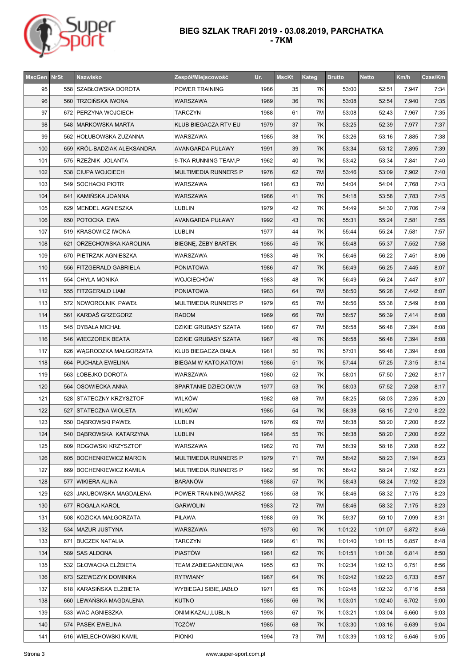

| <b>MscGen NrSt</b> | Nazwisko                    | Zespół/Miejscowość           | Ur.  | <b>MscKt</b> | Kateg | <b>Brutto</b> | <b>Netto</b> | Km/h  | Czas/Km |
|--------------------|-----------------------------|------------------------------|------|--------------|-------|---------------|--------------|-------|---------|
| 95                 | 558   SZABŁOWSKA DOROTA     | POWER TRAINING               | 1986 | 35           | 7K    | 53:00         | 52:51        | 7,947 | 7:34    |
| 96                 | 560   TRZCIŃSKA IWONA       | WARSZAWA                     | 1969 | 36           | 7K    | 53:08         | 52:54        | 7,940 | 7:35    |
| 97                 | 672   PERZYNA WOJCIECH      | <b>TARCZYN</b>               | 1988 | 61           | 7M    | 53:08         | 52:43        | 7,967 | 7:35    |
| 98                 | 548   MARKOWSKA MARTA       | KLUB BIEGACZA RTV EU         | 1979 | 37           | 7K    | 53:25         | 52:39        | 7,977 | 7:37    |
| 99                 | 562   HOŁUBOWSKA ZUZANNA    | WARSZAWA                     | 1985 | 38           | 7K    | 53:26         | 53:16        | 7,885 | 7:38    |
| 100                | 659 KRÓL-BADZIAK ALEKSANDRA | <b>AVANGARDA PUŁAWY</b>      | 1991 | 39           | 7K    | 53:34         | 53:12        | 7,895 | 7:39    |
| 101                | 575 RZEŹNIK JOLANTA         | 9-TKA RUNNING TEAM,P         | 1962 | 40           | 7K    | 53:42         | 53:34        | 7,841 | 7:40    |
| 102                | 538 CIUPA WOJCIECH          | MULTIMEDIA RUNNERS P         | 1976 | 62           | 7M    | 53:46         | 53:09        | 7,902 | 7:40    |
| 103                | 549   SOCHACKI PIOTR        | WARSZAWA                     | 1981 | 63           | 7M    | 54:04         | 54:04        | 7,768 | 7:43    |
| 104                | 641   KAMIŃSKA JOANNA       | WARSZAWA                     | 1986 | 41           | 7K    | 54:18         | 53:58        | 7,783 | 7:45    |
| 105                | 629   MENDEL AGNIESZKA      | LUBLIN                       | 1979 | 42           | 7K    | 54:49         | 54:30        | 7,706 | 7:49    |
| 106                | 650   POTOCKA EWA           | AVANGARDA PUŁAWY             | 1992 | 43           | 7K    | 55:31         | 55:24        | 7,581 | 7:55    |
| 107                | 519 KRASOWICZ IWONA         | <b>LUBLIN</b>                | 1977 | 44           | 7K    | 55:44         | 55:24        | 7,581 | 7:57    |
| 108                | 621 ORZECHOWSKA KAROLINA    | BIEGNE, ŻEBY BARTEK          | 1985 | 45           | 7K    | 55:48         | 55:37        | 7,552 | 7:58    |
| 109                | 670   PIETRZAK AGNIESZKA    | WARSZAWA                     | 1983 | 46           | 7K    | 56:46         | 56:22        | 7,451 | 8:06    |
| 110                | 556   FITZGERALD GABRIELA   | <b>PONIATOWA</b>             | 1986 | 47           | 7K    | 56:49         | 56:25        | 7,445 | 8:07    |
| 111                | 554   CHYŁA MONIKA          | WOJCIECHÓW                   | 1983 | 48           | 7K    | 56:49         | 56:24        | 7,447 | 8:07    |
| 112                | 555   FITZGERALD LIAM       | <b>PONIATOWA</b>             | 1983 | 64           | 7M    | 56:50         | 56:26        | 7,442 | 8:07    |
| 113                | 572 NOWOROLNIK PAWEŁ        | MULTIMEDIA RUNNERS P         | 1979 | 65           | 7M    | 56:56         | 55:38        | 7,549 | 8:08    |
| 114                | 561 KARDAŚ GRZEGORZ         | <b>RADOM</b>                 | 1969 | 66           | 7M    | 56:57         | 56:39        | 7,414 | 8:08    |
| 115                | 545   DYBAŁA MICHAŁ         | DZIKIE GRUBASY SZATA         | 1980 | 67           | 7M    | 56:58         | 56:48        | 7,394 | 8:08    |
| 116                | 546   WIECZOREK BEATA       | DZIKIE GRUBASY SZATA         | 1987 | 49           | 7K    | 56:58         | 56:48        | 7,394 | 8:08    |
| 117                | 626   WĄGRODZKA MAŁGORZATA  | KLUB BIEGACZA BIAŁA          | 1981 | 50           | 7K    | 57:01         | 56:48        | 7,394 | 8:08    |
| 118                | 664   PUCHAŁA EWELINA       | <b>BIEGAM W KATO, KATOWI</b> | 1986 | 51           | 7K    | 57:44         | 57:25        | 7,315 | 8:14    |
| 119                | 563 LOBEJKO DOROTA          | WARSZAWA                     | 1980 | 52           | 7K    | 58:01         | 57:50        | 7,262 | 8:17    |
| 120                | 564   OSOWIECKA ANNA        | SPARTANIE DZIECIOM, W        | 1977 | 53           | 7K    | 58:03         | 57:52        | 7,258 | 8:17    |
| 121                | 528 STATECZNY KRZYSZTOF     | WILKÓW                       | 1982 | 68           | 7M    | 58:25         | 58:03        | 7,235 | 8:20    |
| 122                | 527   STATECZNA WIOLETA     | <b>WILKÓW</b>                | 1985 | 54           | 7K    | 58:38         | 58:15        | 7,210 | 8:22    |
| 123                | 550   DĄBROWSKI PAWEŁ       | <b>LUBLIN</b>                | 1976 | 69           | 7M    | 58:38         | 58:20        | 7,200 | 8:22    |
| 124                | 540 DABROWSKA KATARZYNA     | LUBLIN                       | 1984 | 55           | 7K    | 58:38         | 58:20        | 7,200 | 8:22    |
| 125                | 609   ROGOWSKI KRZYSZTOF    | WARSZAWA                     | 1982 | 70           | 7M    | 58:39         | 58:16        | 7,208 | 8:22    |
| 126                | 605   BOCHENKIEWICZ MARCIN  | MULTIMEDIA RUNNERS P         | 1979 | 71           | 7M    | 58:42         | 58:23        | 7,194 | 8:23    |
| 127                | 669   BOCHENKIEWICZ KAMILA  | MULTIMEDIA RUNNERS P         | 1982 | 56           | 7K    | 58:42         | 58:24        | 7,192 | 8:23    |
| 128                | 577   WIKIERA ALINA         | <b>BARANÓW</b>               | 1988 | 57           | 7K    | 58:43         | 58:24        | 7,192 | 8:23    |
| 129                | 623 JAKUBOWSKA MAGDALENA    | POWER TRAINING, WARSZ        | 1985 | 58           | 7K    | 58:46         | 58:32        | 7,175 | 8:23    |
| 130                | 677   ROGALA KAROL          | <b>GARWOLIN</b>              | 1983 | 72           | 7M    | 58:46         | 58:32        | 7,175 | 8:23    |
| 131                | 508 KOZICKA MAŁGORZATA      | PILAWA                       | 1988 | 59           | 7Κ    | 59:37         | 59:10        | 7,099 | 8:31    |
| 132                | 534   MAZUR JUSTYNA         | WARSZAWA                     | 1973 | 60           | 7K    | 1:01:22       | 1:01:07      | 6,872 | 8:46    |
| 133                | 671   BUCZEK NATALIA        | <b>TARCZYN</b>               | 1989 | 61           | 7K    | 1:01:40       | 1:01:15      | 6,857 | 8:48    |
| 134                | 589   SAS ALDONA            | <b>PIASTÓW</b>               | 1961 | 62           | 7K    | 1:01:51       | 1:01:38      | 6,814 | 8:50    |
| 135                | 532   GŁOWACKA ELŻBIETA     | TEAM ZABIEGANEDNI, WA        | 1955 | 63           | 7Κ    | 1:02:34       | 1:02:13      | 6,751 | 8:56    |
| 136                | 673 SZEWCZYK DOMINIKA       | <b>RYTWIANY</b>              | 1987 | 64           | 7K    | 1:02:42       | 1:02:23      | 6,733 | 8:57    |
| 137                | 618   KARASIŃSKA ELŻBIETA   | WYBIEGAJ SIBIE, JABŁO        | 1971 | 65           | 7K    | 1:02:48       | 1:02:32      | 6,716 | 8:58    |
| 138                | 660   LEWANSKA MAGDALENA    | <b>KUTNO</b>                 | 1985 | 66           | 7K    | 1:03:01       | 1:02:40      | 6,702 | 9:00    |
| 139                | 533   WAC AGNIESZKA         | ONIMIKAZALI,LUBLIN           | 1993 | 67           | 7Κ    | 1:03:21       | 1:03:04      | 6,660 | 9:03    |
| 140                | 574   PASEK EWELINA         | <b>TCZÓW</b>                 | 1985 | 68           | 7K    | 1:03:30       | 1:03:16      | 6,639 | 9:04    |
| 141                | 616   WIELECHOWSKI KAMIL    | <b>PIONKI</b>                | 1994 | 73           | 7M    | 1:03:39       | 1:03:12      | 6,646 | 9:05    |